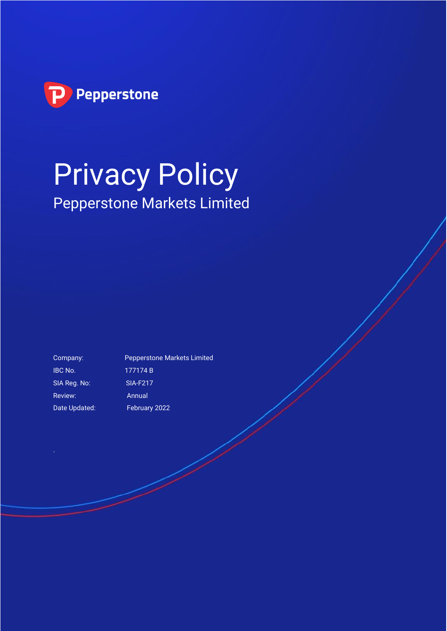

# Privacy Policy Pepperstone Markets Limited

IBC No. 177174 B SIA Reg. No: SIA-F217 Review: Annual Date Updated: February 2022

Company: Pepperstone Markets Limited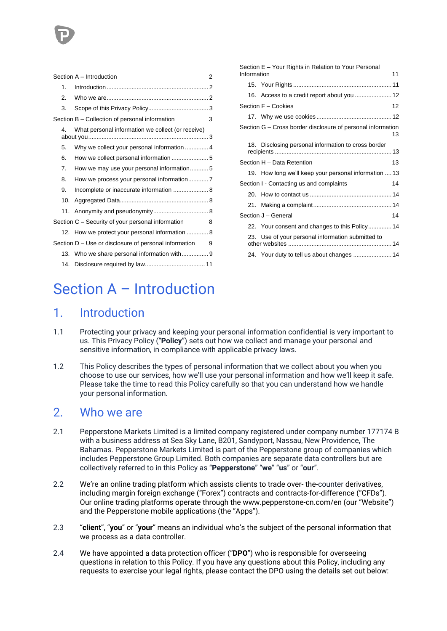|  | Section A - Introduction | 2                                                     |   |
|--|--------------------------|-------------------------------------------------------|---|
|  | 1 <sup>1</sup>           |                                                       |   |
|  | 2.                       |                                                       |   |
|  | 3.                       |                                                       |   |
|  |                          | Section B – Collection of personal information        | 3 |
|  | 4.                       | What personal information we collect (or receive)     |   |
|  | 5.                       |                                                       |   |
|  | 6.                       |                                                       |   |
|  | 7.                       | How we may use your personal information 5            |   |
|  | 8.                       |                                                       |   |
|  | 9.                       | Incomplete or inaccurate information  8               |   |
|  | 10.                      |                                                       |   |
|  |                          |                                                       |   |
|  |                          | Section C – Security of your personal information     | 8 |
|  |                          | 12. How we protect your personal information  8       |   |
|  |                          | Section D – Use or disclosure of personal information | 9 |
|  |                          |                                                       |   |
|  |                          |                                                       |   |

| Section E - Your Rights in Relation to Your Personal<br>Information<br>11 |  |                                                       |    |  |  |
|---------------------------------------------------------------------------|--|-------------------------------------------------------|----|--|--|
|                                                                           |  |                                                       |    |  |  |
|                                                                           |  |                                                       |    |  |  |
|                                                                           |  | Section F - Cookies                                   | 12 |  |  |
|                                                                           |  |                                                       |    |  |  |
| Section G – Cross border disclosure of personal information               |  |                                                       |    |  |  |
|                                                                           |  | 18. Disclosing personal information to cross border   |    |  |  |
| Section H - Data Retention                                                |  |                                                       | 13 |  |  |
|                                                                           |  | 19. How long we'll keep your personal information  13 |    |  |  |
|                                                                           |  | Section I - Contacting us and complaints              | 14 |  |  |
|                                                                           |  |                                                       |    |  |  |
|                                                                           |  |                                                       |    |  |  |
| Section J - General                                                       |  |                                                       |    |  |  |
|                                                                           |  | 22. Your consent and changes to this Policy14         |    |  |  |
|                                                                           |  | 23. Use of your personal information submitted to     |    |  |  |
|                                                                           |  | 24. Your duty to tell us about changes  14            |    |  |  |

## <span id="page-1-0"></span>Section A – Introduction

### <span id="page-1-1"></span>1. Introduction

- 1.1 Protecting your privacy and keeping your personal information confidential is very important to us. This Privacy Policy ("**Policy**") sets out how we collect and manage your personal and sensitive information, in compliance with applicable privacy laws.
- 1.2 This Policy describes the types of personal information that we collect about you when you choose to use our services, how we'll use your personal information and how we'll keep it safe. Please take the time to read this Policy carefully so that you can understand how we handle your personal information.

### <span id="page-1-2"></span>2. Who we are

- 2.1 Pepperstone Markets Limited is a limited company registered under company number 177174 B with a business address at Sea Sky Lane, B201, Sandyport, Nassau, New Providence, The Bahamas. Pepperstone Markets Limited is part of the Pepperstone group of companies which includes Pepperstone Group Limited. Both companies are separate data controllers but are collectively referred to in this Policy as "**Pepperstone**" "**we**" "**us**" or "**our**".
- 2.2 We're an online trading platform which assists clients to trade over- the-counter derivatives, including margin foreign exchange ("Forex") contracts and contracts-for-difference ("CFDs"). Our online trading platforms operate through the www.pepperstone-cn.com/en (our "Website") and the Pepperstone mobile applications (the "Apps").
- 2.3 "**client**", "**you**" or "**your**" means an individual who's the subject of the personal information that we process as a data controller.
- 2.4 We have appointed a data protection officer ("**DPO**") who is responsible for overseeing questions in relation to this Policy. If you have any questions about this Policy, including any requests to exercise your legal rights, please contact the DPO using the details set out below: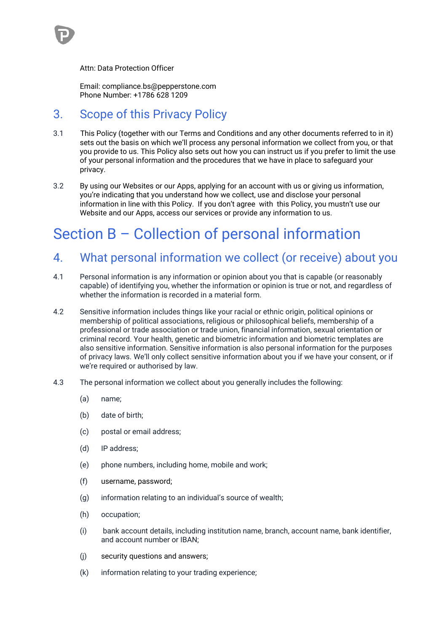

Email: compliance.bs@pepperstone.com Phone Number: +1786 628 1209

### <span id="page-2-0"></span>3. Scope of this Privacy Policy

- 3.1 This Policy (together with our Terms and Conditions and any other documents referred to in it) sets out the basis on which we'll process any personal information we collect from you, or that you provide to us. This Policy also sets out how you can instruct us if you prefer to limit the use of your personal information and the procedures that we have in place to safeguard your privacy.
- 3.2 By using our Websites or our Apps, applying for an account with us or giving us information, you're indicating that you understand how we collect, use and disclose your personal information in line with this Policy. If you don't agree with this Policy, you mustn't use our Website and our Apps, access our services or provide any information to us.

## <span id="page-2-1"></span>Section B – Collection of personal information

### <span id="page-2-2"></span>4. What personal information we collect (or receive) about you

- 4.1 Personal information is any information or opinion about you that is capable (or reasonably capable) of identifying you, whether the information or opinion is true or not, and regardless of whether the information is recorded in a material form.
- 4.2 Sensitive information includes things like your racial or ethnic origin, political opinions or membership of political associations, religious or philosophical beliefs, membership of a professional or trade association or trade union, financial information, sexual orientation or criminal record. Your health, genetic and biometric information and biometric templates are also sensitive information. Sensitive information is also personal information for the purposes of privacy laws. We'll only collect sensitive information about you if we have your consent, or if we're required or authorised by law.
- 4.3 The personal information we collect about you generally includes the following:
	- (a) name;
	- (b) date of birth;
	- (c) postal or email address;
	- (d) IP address;
	- (e) phone numbers, including home, mobile and work;
	- (f) username, password;
	- (g) information relating to an individual's source of wealth;
	- (h) occupation;
	- (i) bank account details, including institution name, branch, account name, bank identifier, and account number or IBAN;
	- (j) security questions and answers;
	- (k) information relating to your trading experience;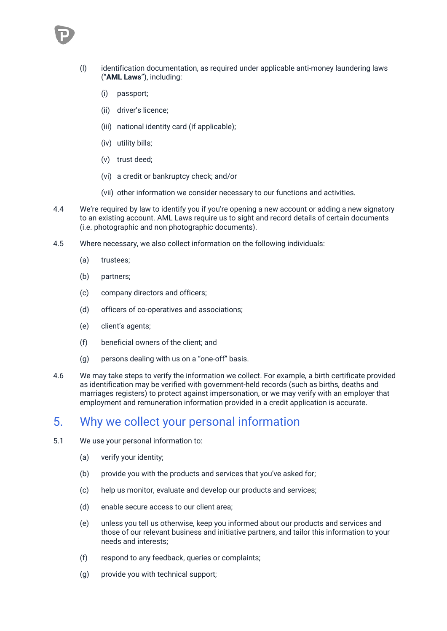

- (l) identification documentation, as required under applicable anti-money laundering laws ("**AML Laws**"), including:
	- (i) passport;
	- (ii) driver's licence;
	- (iii) national identity card (if applicable);
	- (iv) utility bills;
	- (v) trust deed;
	- (vi) a credit or bankruptcy check; and/or
	- (vii) other information we consider necessary to our functions and activities.
- 4.4 We're required by law to identify you if you're opening a new account or adding a new signatory to an existing account. AML Laws require us to sight and record details of certain documents (i.e. photographic and non photographic documents).
- 4.5 Where necessary, we also collect information on the following individuals:
	- (a) trustees;
	- (b) partners;
	- (c) company directors and officers;
	- (d) officers of co-operatives and associations;
	- (e) client's agents;
	- (f) beneficial owners of the client; and
	- (g) persons dealing with us on a "one-off" basis.
- 4.6 We may take steps to verify the information we collect. For example, a birth certificate provided as identification may be verified with government-held records (such as births, deaths and marriages registers) to protect against impersonation, or we may verify with an employer that employment and remuneration information provided in a credit application is accurate.

### <span id="page-3-0"></span>5. Why we collect your personal information

- 5.1 We use your personal information to:
	- (a) verify your identity;
	- (b) provide you with the products and services that you've asked for;
	- (c) help us monitor, evaluate and develop our products and services;
	- (d) enable secure access to our client area;
	- (e) unless you tell us otherwise, keep you informed about our products and services and those of our relevant business and initiative partners, and tailor this information to your needs and interests;
	- (f) respond to any feedback, queries or complaints;
	- (g) provide you with technical support;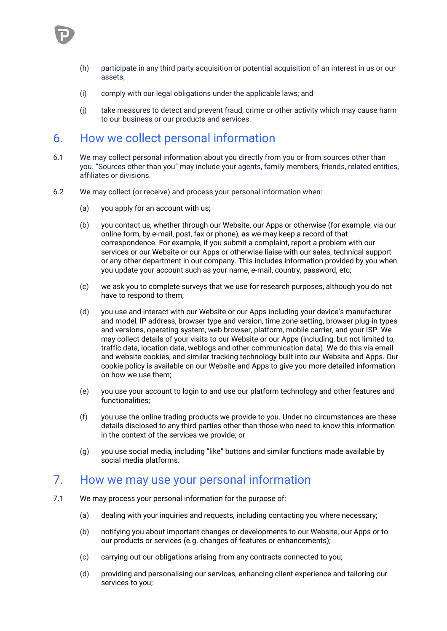

- (h) participate in any third party acquisition or potential acquisition of an interest in us or our assets;
- (i) comply with our legal obligations under the applicable laws; and
- (j) take measures to detect and prevent fraud, crime or other activity which may cause harm to our business or our products and services.

### <span id="page-4-0"></span>6. How we collect personal information

- 6.1 We may collect personal information about you directly from you or from sources other than you. "Sources other than you" may include your agents, family members, friends, related entities, affiliates or divisions.
- 6.2 We may collect (or receive) and process your personal information when:
	- (a) you apply for an account with us;
	- (b) you contact us, whether through our Website, our Apps or otherwise (for example, via our online form, by e-mail, post, fax or phone), as we may keep a record of that correspondence. For example, if you submit a complaint, report a problem with our services or our Website or our Apps or otherwise liaise with our sales, technical support or any other department in our company. This includes information provided by you when you update your account such as your name, e-mail, country, password, etc;
	- (c) we ask you to complete surveys that we use for research purposes, although you do not have to respond to them;
	- (d) you use and interact with our Website or our Apps including your device's manufacturer and model, IP address, browser type and version, time zone setting, browser plug-in types and versions, operating system, web browser, platform, mobile carrier, and your ISP. We may collect details of your visits to our Website or our Apps (including, but not limited to, traffic data, location data, weblogs and other communication data). We do this via email and website cookies, and similar tracking technology built into our Website and Apps. Our cookie policy is available on our Website and Apps to give you more detailed information on how we use them;
	- (e) you use your account to login to and use our platform technology and other features and functionalities;
	- (f) you use the online trading products we provide to you. Under no circumstances are these details disclosed to any third parties other than those who need to know this information in the context of the services we provide; or
	- (g) you use social media, including "like" buttons and similar functions made available by social media platforms.

### <span id="page-4-1"></span>7. How we may use your personal information

- 7.1 We may process your personal information for the purpose of:
	- (a) dealing with your inquiries and requests, including contacting you where necessary;
	- (b) notifying you about important changes or developments to our Website, our Apps or to our products or services (e.g. changes of features or enhancements);
	- (c) carrying out our obligations arising from any contracts connected to you;
	- (d) providing and personalising our services, enhancing client experience and tailoring our services to you;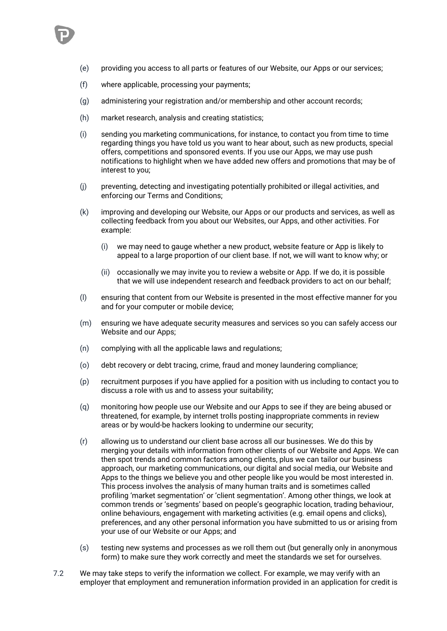

- (e) providing you access to all parts or features of our Website, our Apps or our services;
- (f) where applicable, processing your payments;
- (g) administering your registration and/or membership and other account records;
- (h) market research, analysis and creating statistics;
- (i) sending you marketing communications, for instance, to contact you from time to time regarding things you have told us you want to hear about, such as new products, special offers, competitions and sponsored events. If you use our Apps, we may use push notifications to highlight when we have added new offers and promotions that may be of interest to you;
- (j) preventing, detecting and investigating potentially prohibited or illegal activities, and enforcing our Terms and Conditions;
- (k) improving and developing our Website, our Apps or our products and services, as well as collecting feedback from you about our Websites, our Apps, and other activities. For example:
	- (i) we may need to gauge whether a new product, website feature or App is likely to appeal to a large proportion of our client base. If not, we will want to know why; or
	- (ii) occasionally we may invite you to review a website or App. If we do, it is possible that we will use independent research and feedback providers to act on our behalf;
- (l) ensuring that content from our Website is presented in the most effective manner for you and for your computer or mobile device;
- (m) ensuring we have adequate security measures and services so you can safely access our Website and our Apps;
- (n) complying with all the applicable laws and regulations;
- (o) debt recovery or debt tracing, crime, fraud and money laundering compliance;
- (p) recruitment purposes if you have applied for a position with us including to contact you to discuss a role with us and to assess your suitability;
- (q) monitoring how people use our Website and our Apps to see if they are being abused or threatened, for example, by internet trolls posting inappropriate comments in review areas or by would-be hackers looking to undermine our security;
- (r) allowing us to understand our client base across all our businesses. We do this by merging your details with information from other clients of our Website and Apps. We can then spot trends and common factors among clients, plus we can tailor our business approach, our marketing communications, our digital and social media, our Website and Apps to the things we believe you and other people like you would be most interested in. This process involves the analysis of many human traits and is sometimes called profiling 'market segmentation' or 'client segmentation'. Among other things, we look at common trends or 'segments' based on people's geographic location, trading behaviour, online behaviours, engagement with marketing activities (e.g. email opens and clicks), preferences, and any other personal information you have submitted to us or arising from your use of our Website or our Apps; and
- (s) testing new systems and processes as we roll them out (but generally only in anonymous form) to make sure they work correctly and meet the standards we set for ourselves.
- 7.2 We may take steps to verify the information we collect. For example, we may verify with an employer that employment and remuneration information provided in an application for credit is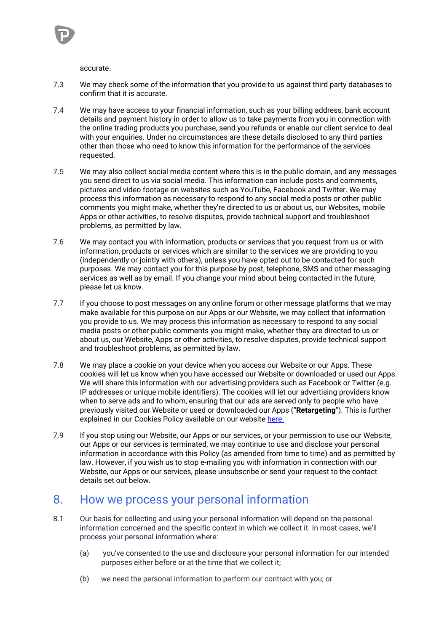accurate.

- 7.3 We may check some of the information that you provide to us against third party databases to confirm that it is accurate.
- 7.4 We may have access to your financial information, such as your billing address, bank account details and payment history in order to allow us to take payments from you in connection with the online trading products you purchase, send you refunds or enable our client service to deal with your enquiries. Under no circumstances are these details disclosed to any third parties other than those who need to know this information for the performance of the services requested.
- 7.5 We may also collect social media content where this is in the public domain, and any messages you send direct to us via social media. This information can include posts and comments, pictures and video footage on websites such as YouTube, Facebook and Twitter. We may process this information as necessary to respond to any social media posts or other public comments you might make, whether they're directed to us or about us, our Websites, mobile Apps or other activities, to resolve disputes, provide technical support and troubleshoot problems, as permitted by law.
- 7.6 We may contact you with information, products or services that you request from us or with information, products or services which are similar to the services we are providing to you (independently or jointly with others), unless you have opted out to be contacted for such purposes. We may contact you for this purpose by post, telephone, SMS and other messaging services as well as by email. If you change your mind about being contacted in the future, please let us know.
- 7.7 If you choose to post messages on any online forum or other message platforms that we may make available for this purpose on our Apps or our Website, we may collect that information you provide to us. We may process this information as necessary to respond to any social media posts or other public comments you might make, whether they are directed to us or about us, our Website, Apps or other activities, to resolve disputes, provide technical support and troubleshoot problems, as permitted by law.
- 7.8 We may place a cookie on your device when you access our Website or our Apps. These cookies will let us know when you have accessed our Website or downloaded or used our Apps. We will share this information with our advertising providers such as Facebook or Twitter (e.g. IP addresses or unique mobile identifiers). The cookies will let our advertising providers know when to serve ads and to whom, ensuring that our ads are served only to people who have previously visited our Website or used or downloaded our Apps ("**Retargeting**"). This is further explained in our Cookies Policy available on our website [here.](https://files.pepperstone.com/legal/SCB/SCB_Cookie_Policy_ROW.pdf)
- 7.9 If you stop using our Website, our Apps or our services, or your permission to use our Website, our Apps or our services is terminated, we may continue to use and disclose your personal information in accordance with this Policy (as amended from time to time) and as permitted by law. However, if you wish us to stop e-mailing you with information in connection with our Website, our Apps or our services, please unsubscribe or send your request to the contact details set out below.

### <span id="page-6-0"></span>8. How we process your personal information

- 8.1 Our basis for collecting and using your personal information will depend on the personal information concerned and the specific context in which we collect it. In most cases, we'll process your personal information where:
	- (a) you've consented to the use and disclosure your personal information for our intended purposes either before or at the time that we collect it;
	- (b) we need the personal information to perform our contract with you; or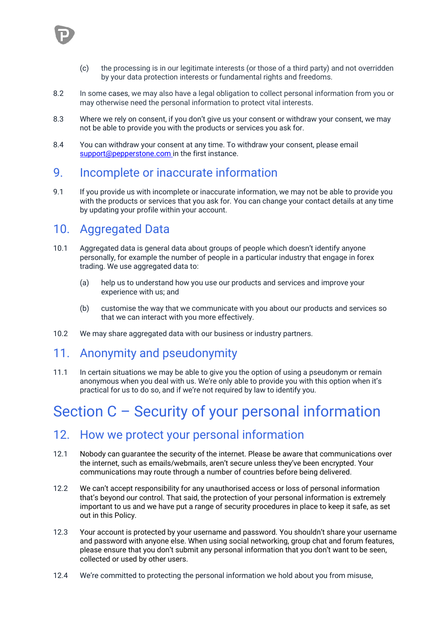- (c) the processing is in our legitimate interests (or those of a third party) and not overridden by your data protection interests or fundamental rights and freedoms.
- 8.2 In some cases, we may also have a legal obligation to collect personal information from you or may otherwise need the personal information to protect vital interests.
- 8.3 Where we rely on consent, if you don't give us your consent or withdraw your consent, we may not be able to provide you with the products or services you ask for.
- 8.4 You can withdraw your consent at any time. To withdraw your consent, please email [support@pepperstone.com i](mailto:support@pepperstone.com)n the first instance.

### <span id="page-7-0"></span>9. Incomplete or inaccurate information

9.1 If you provide us with incomplete or inaccurate information, we may not be able to provide you with the products or services that you ask for. You can change your contact details at any time by updating your profile within your account.

### <span id="page-7-1"></span>10. Aggregated Data

- 10.1 Aggregated data is general data about groups of people which doesn't identify anyone personally, for example the number of people in a particular industry that engage in forex trading. We use aggregated data to:
	- (a) help us to understand how you use our products and services and improve your experience with us; and
	- (b) customise the way that we communicate with you about our products and services so that we can interact with you more effectively.
- <span id="page-7-2"></span>10.2 We may share aggregated data with our business or industry partners.

### 11. Anonymity and pseudonymity

11.1 In certain situations we may be able to give you the option of using a pseudonym or remain anonymous when you deal with us. We're only able to provide you with this option when it's practical for us to do so, and if we're not required by law to identify you.

## <span id="page-7-3"></span>Section C – Security of your personal information

### <span id="page-7-4"></span>12. How we protect your personal information

- 12.1 Nobody can guarantee the security of the internet. Please be aware that communications over the internet, such as emails/webmails, aren't secure unless they've been encrypted. Your communications may route through a number of countries before being delivered.
- 12.2 We can't accept responsibility for any unauthorised access or loss of personal information that's beyond our control. That said, the protection of your personal information is extremely important to us and we have put a range of security procedures in place to keep it safe, as set out in this Policy.
- 12.3 Your account is protected by your username and password. You shouldn't share your username and password with anyone else. When using social networking, group chat and forum features, please ensure that you don't submit any personal information that you don't want to be seen, collected or used by other users.
- 12.4 We're committed to protecting the personal information we hold about you from misuse,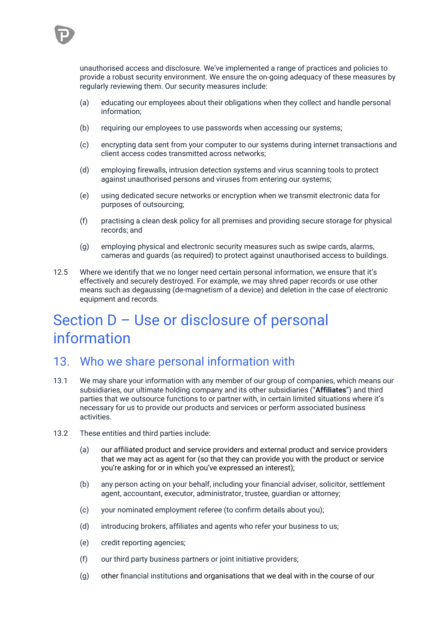

unauthorised access and disclosure. We've implemented a range of practices and policies to provide a robust security environment. We ensure the on-going adequacy of these measures by regularly reviewing them. Our security measures include:

- (a) educating our employees about their obligations when they collect and handle personal information;
- (b) requiring our employees to use passwords when accessing our systems;
- (c) encrypting data sent from your computer to our systems during internet transactions and client access codes transmitted across networks;
- (d) employing firewalls, intrusion detection systems and virus scanning tools to protect against unauthorised persons and viruses from entering our systems;
- (e) using dedicated secure networks or encryption when we transmit electronic data for purposes of outsourcing;
- (f) practising a clean desk policy for all premises and providing secure storage for physical records; and
- (g) employing physical and electronic security measures such as swipe cards, alarms, cameras and guards (as required) to protect against unauthorised access to buildings.
- 12.5 Where we identify that we no longer need certain personal information, we ensure that it's effectively and securely destroyed. For example, we may shred paper records or use other means such as degaussing (de-magnetism of a device) and deletion in the case of electronic equipment and records.

## <span id="page-8-0"></span>Section D – Use or disclosure of personal information

### <span id="page-8-1"></span>13. Who we share personal information with

- 13.1 We may share your information with any member of our group of companies, which means our subsidiaries, our ultimate holding company and its other subsidiaries ("**Affiliates**") and third parties that we outsource functions to or partner with, in certain limited situations where it's necessary for us to provide our products and services or perform associated business activities.
- 13.2 These entities and third parties include:
	- (a) our affiliated product and service providers and external product and service providers that we may act as agent for (so that they can provide you with the product or service you're asking for or in which you've expressed an interest);
	- (b) any person acting on your behalf, including your financial adviser, solicitor, settlement agent, accountant, executor, administrator, trustee, guardian or attorney;
	- (c) your nominated employment referee (to confirm details about you);
	- (d) introducing brokers, affiliates and agents who refer your business to us;
	- (e) credit reporting agencies;
	- (f) our third party business partners or joint initiative providers;
	- (g) other financial institutions and organisations that we deal with in the course of our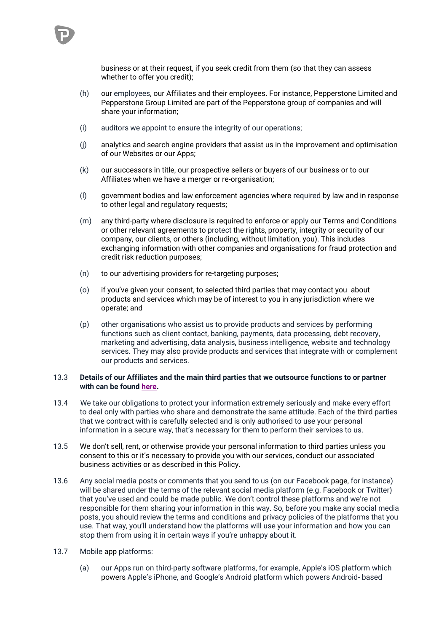

- (h) our employees, our Affiliates and their employees. For instance, Pepperstone Limited and Pepperstone Group Limited are part of the Pepperstone group of companies and will share your information;
- (i) auditors we appoint to ensure the integrity of our operations;
- (j) analytics and search engine providers that assist us in the improvement and optimisation of our Websites or our Apps;
- (k) our successors in title, our prospective sellers or buyers of our business or to our Affiliates when we have a merger or re-organisation;
- (l) government bodies and law enforcement agencies where required by law and in response to other legal and regulatory requests;
- (m) any third-party where disclosure is required to enforce or apply our Terms and Conditions or other relevant agreements to protect the rights, property, integrity or security of our company, our clients, or others (including, without limitation, you). This includes exchanging information with other companies and organisations for fraud protection and credit risk reduction purposes;
- (n) to our advertising providers for re-targeting purposes;
- (o) if you've given your consent, to selected third parties that may contact you about products and services which may be of interest to you in any jurisdiction where we operate; and
- (p) other organisations who assist us to provide products and services by performing functions such as client contact, banking, payments, data processing, debt recovery, marketing and advertising, data analysis, business intelligence, website and technology services. They may also provide products and services that integrate with or complement our products and services.

#### 13.3 **Details of our Affiliates and the main third parties that we outsource functions to or partner with can be foun[d here.](https://eu-assets.contentstack.com/v3/assets/bltaec35894448c7261/blt6a3400ff069a8f6d/61fcb47c9601b64f3cdbbc2c/China_-_List_of_Processors.pdf)**

- 13.4 We take our obligations to protect your information extremely seriously and make every effort to deal only with parties who share and demonstrate the same attitude. Each of the third parties that we contract with is carefully selected and is only authorised to use your personal information in a secure way, that's necessary for them to perform their services to us.
- 13.5 We don't sell, rent, or otherwise provide your personal information to third parties unless you consent to this or it's necessary to provide you with our services, conduct our associated business activities or as described in this Policy.
- 13.6 Any social media posts or comments that you send to us (on our Facebook page, for instance) will be shared under the terms of the relevant social media platform (e.g. Facebook or Twitter) that you've used and could be made public. We don't control these platforms and we're not responsible for them sharing your information in this way. So, before you make any social media posts, you should review the terms and conditions and privacy policies of the platforms that you use. That way, you'll understand how the platforms will use your information and how you can stop them from using it in certain ways if you're unhappy about it.
- 13.7 Mobile app platforms:
	- (a) our Apps run on third-party software platforms, for example, Apple's iOS platform which powers Apple's iPhone, and Google's Android platform which powers Android- based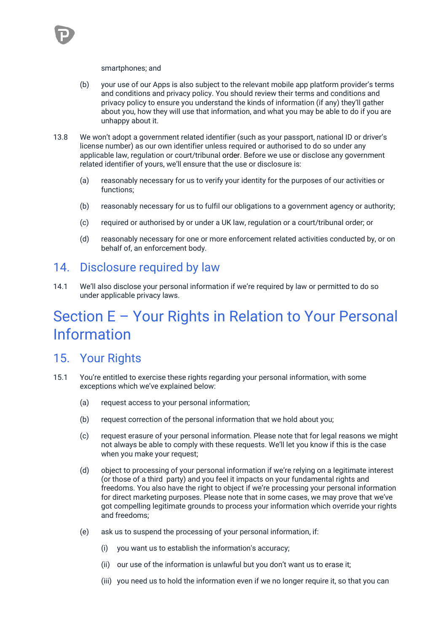

#### smartphones; and

- (b) your use of our Apps is also subject to the relevant mobile app platform provider's terms and conditions and privacy policy. You should review their terms and conditions and privacy policy to ensure you understand the kinds of information (if any) they'll gather about you, how they will use that information, and what you may be able to do if you are unhappy about it.
- 13.8 We won't adopt a government related identifier (such as your passport, national ID or driver's license number) as our own identifier unless required or authorised to do so under any applicable law, regulation or court/tribunal order. Before we use or disclose any government related identifier of yours, we'll ensure that the use or disclosure is:
	- (a) reasonably necessary for us to verify your identity for the purposes of our activities or functions;
	- (b) reasonably necessary for us to fulfil our obligations to a government agency or authority;
	- (c) required or authorised by or under a UK law, regulation or a court/tribunal order; or
	- (d) reasonably necessary for one or more enforcement related activities conducted by, or on behalf of, an enforcement body.

### <span id="page-10-0"></span>14. Disclosure required by law

14.1 We'll also disclose your personal information if we're required by law or permitted to do so under applicable privacy laws.

## <span id="page-10-1"></span>Section E – Your Rights in Relation to Your Personal Information

### <span id="page-10-2"></span>15. Your Rights

- 15.1 You're entitled to exercise these rights regarding your personal information, with some exceptions which we've explained below:
	- (a) request access to your personal information;
	- (b) request correction of the personal information that we hold about you;
	- (c) request erasure of your personal information. Please note that for legal reasons we might not always be able to comply with these requests. We'll let you know if this is the case when you make your request;
	- (d) object to processing of your personal information if we're relying on a legitimate interest (or those of a third party) and you feel it impacts on your fundamental rights and freedoms. You also have the right to object if we're processing your personal information for direct marketing purposes. Please note that in some cases, we may prove that we've got compelling legitimate grounds to process your information which override your rights and freedoms;
	- (e) ask us to suspend the processing of your personal information, if:
		- (i) you want us to establish the information's accuracy;
		- (ii) our use of the information is unlawful but you don't want us to erase it;
		- (iii) you need us to hold the information even if we no longer require it, so that you can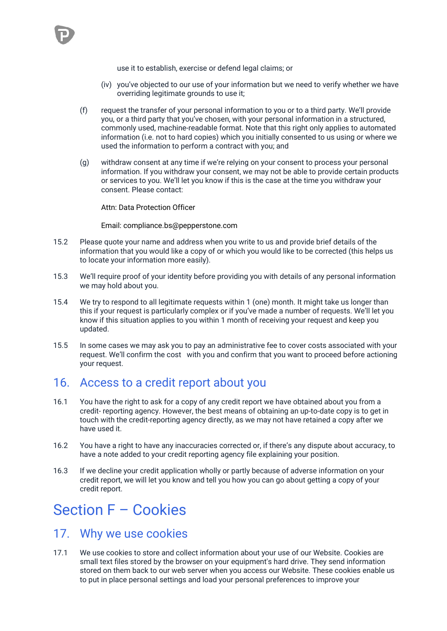

- (iv) you've objected to our use of your information but we need to verify whether we have overriding legitimate grounds to use it;
- (f) request the transfer of your personal information to you or to a third party. We'll provide you, or a third party that you've chosen, with your personal information in a structured, commonly used, machine-readable format. Note that this right only applies to automated information (i.e. not to hard copies) which you initially consented to us using or where we used the information to perform a contract with you; and
- (g) withdraw consent at any time if we're relying on your consent to process your personal information. If you withdraw your consent, we may not be able to provide certain products or services to you. We'll let you know if this is the case at the time you withdraw your consent. Please contact:

Attn: Data Protection Officer

Email: compliance.bs@pepperstone.com

- 15.2 Please quote your name and address when you write to us and provide brief details of the information that you would like a copy of or which you would like to be corrected (this helps us to locate your information more easily).
- 15.3 We'll require proof of your identity before providing you with details of any personal information we may hold about you.
- 15.4 We try to respond to all legitimate requests within 1 (one) month. It might take us longer than this if your request is particularly complex or if you've made a number of requests. We'll let you know if this situation applies to you within 1 month of receiving your request and keep you updated.
- 15.5 In some cases we may ask you to pay an administrative fee to cover costs associated with your request. We'll confirm the cost with you and confirm that you want to proceed before actioning your request.

### <span id="page-11-0"></span>16. Access to a credit report about you

- 16.1 You have the right to ask for a copy of any credit report we have obtained about you from a credit- reporting agency. However, the best means of obtaining an up-to-date copy is to get in touch with the credit-reporting agency directly, as we may not have retained a copy after we have used it.
- 16.2 You have a right to have any inaccuracies corrected or, if there's any dispute about accuracy, to have a note added to your credit reporting agency file explaining your position.
- 16.3 If we decline your credit application wholly or partly because of adverse information on your credit report, we will let you know and tell you how you can go about getting a copy of your credit report.

## <span id="page-11-1"></span>Section F – Cookies

### <span id="page-11-2"></span>17. Why we use cookies

17.1 We use cookies to store and collect information about your use of our Website. Cookies are small text files stored by the browser on your equipment's hard drive. They send information stored on them back to our web server when you access our Website. These cookies enable us to put in place personal settings and load your personal preferences to improve your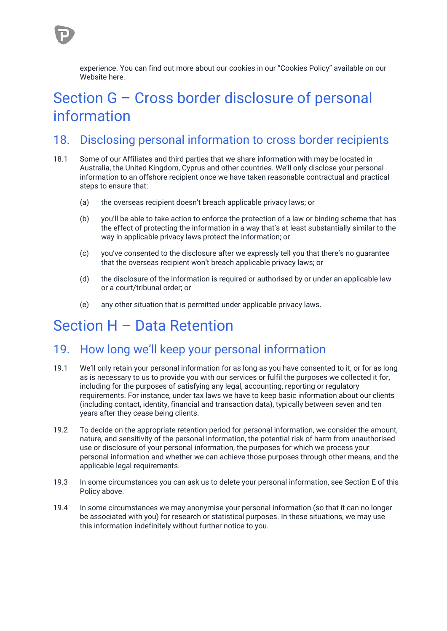experience. You can find out more about our cookies in our "Cookies Policy" available on our Website here.

## <span id="page-12-0"></span>Section G – Cross border disclosure of personal information

### <span id="page-12-1"></span>18. Disclosing personal information to cross border recipients

- 18.1 Some of our Affiliates and third parties that we share information with may be located in Australia, the United Kingdom, Cyprus and other countries. We'll only disclose your personal information to an offshore recipient once we have taken reasonable contractual and practical steps to ensure that:
	- (a) the overseas recipient doesn't breach applicable privacy laws; or
	- (b) you'll be able to take action to enforce the protection of a law or binding scheme that has the effect of protecting the information in a way that's at least substantially similar to the way in applicable privacy laws protect the information; or
	- (c) you've consented to the disclosure after we expressly tell you that there's no guarantee that the overseas recipient won't breach applicable privacy laws; or
	- (d) the disclosure of the information is required or authorised by or under an applicable law or a court/tribunal order; or
	- (e) any other situation that is permitted under applicable privacy laws.

## <span id="page-12-2"></span>Section H – Data Retention

### <span id="page-12-3"></span>19. How long we'll keep your personal information

- 19.1 We'll only retain your personal information for as long as you have consented to it, or for as long as is necessary to us to provide you with our services or fulfil the purposes we collected it for, including for the purposes of satisfying any legal, accounting, reporting or regulatory requirements. For instance, under tax laws we have to keep basic information about our clients (including contact, identity, financial and transaction data), typically between seven and ten years after they cease being clients.
- 19.2 To decide on the appropriate retention period for personal information, we consider the amount, nature, and sensitivity of the personal information, the potential risk of harm from unauthorised use or disclosure of your personal information, the purposes for which we process your personal information and whether we can achieve those purposes through other means, and the applicable legal requirements.
- 19.3 In some circumstances you can ask us to delete your personal information, see Section E of this Policy above.
- 19.4 In some circumstances we may anonymise your personal information (so that it can no longer be associated with you) for research or statistical purposes. In these situations, we may use this information indefinitely without further notice to you.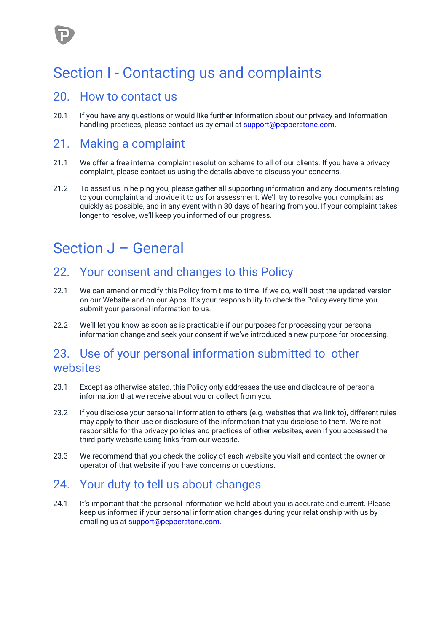## <span id="page-13-0"></span>Section I - Contacting us and complaints

### <span id="page-13-1"></span>20. How to contact us

20.1 If you have any questions or would like further information about our privacy and information handling practices, please contact us by email at [support@pepperstone.com.](about:blank)

### <span id="page-13-2"></span>21. Making a complaint

- 21.1 We offer a free internal complaint resolution scheme to all of our clients. If you have a privacy complaint, please contact us using the details above to discuss your concerns.
- 21.2 To assist us in helping you, please gather all supporting information and any documents relating to your complaint and provide it to us for assessment. We'll try to resolve your complaint as quickly as possible, and in any event within 30 days of hearing from you. If your complaint takes longer to resolve, we'll keep you informed of our progress.

## <span id="page-13-3"></span>Section J – General

### <span id="page-13-4"></span>22. Your consent and changes to this Policy

- 22.1 We can amend or modify this Policy from time to time. If we do, we'll post the updated version on our Website and on our Apps. It's your responsibility to check the Policy every time you submit your personal information to us.
- 22.2 We'll let you know as soon as is practicable if our purposes for processing your personal information change and seek your consent if we've introduced a new purpose for processing.

### <span id="page-13-5"></span>23. Use of your personal information submitted to other websites

- 23.1 Except as otherwise stated, this Policy only addresses the use and disclosure of personal information that we receive about you or collect from you.
- 23.2 If you disclose your personal information to others (e.g. websites that we link to), different rules may apply to their use or disclosure of the information that you disclose to them. We're not responsible for the privacy policies and practices of other websites, even if you accessed the third-party website using links from our website.
- 23.3 We recommend that you check the policy of each website you visit and contact the owner or operator of that website if you have concerns or questions.

### <span id="page-13-6"></span>24. Your duty to tell us about changes

24.1 It's important that the personal information we hold about you is accurate and current. Please keep us informed if your personal information changes during your relationship with us by emailing us at [support@pepperstone.com.](mailto:support@pepperstone.com)